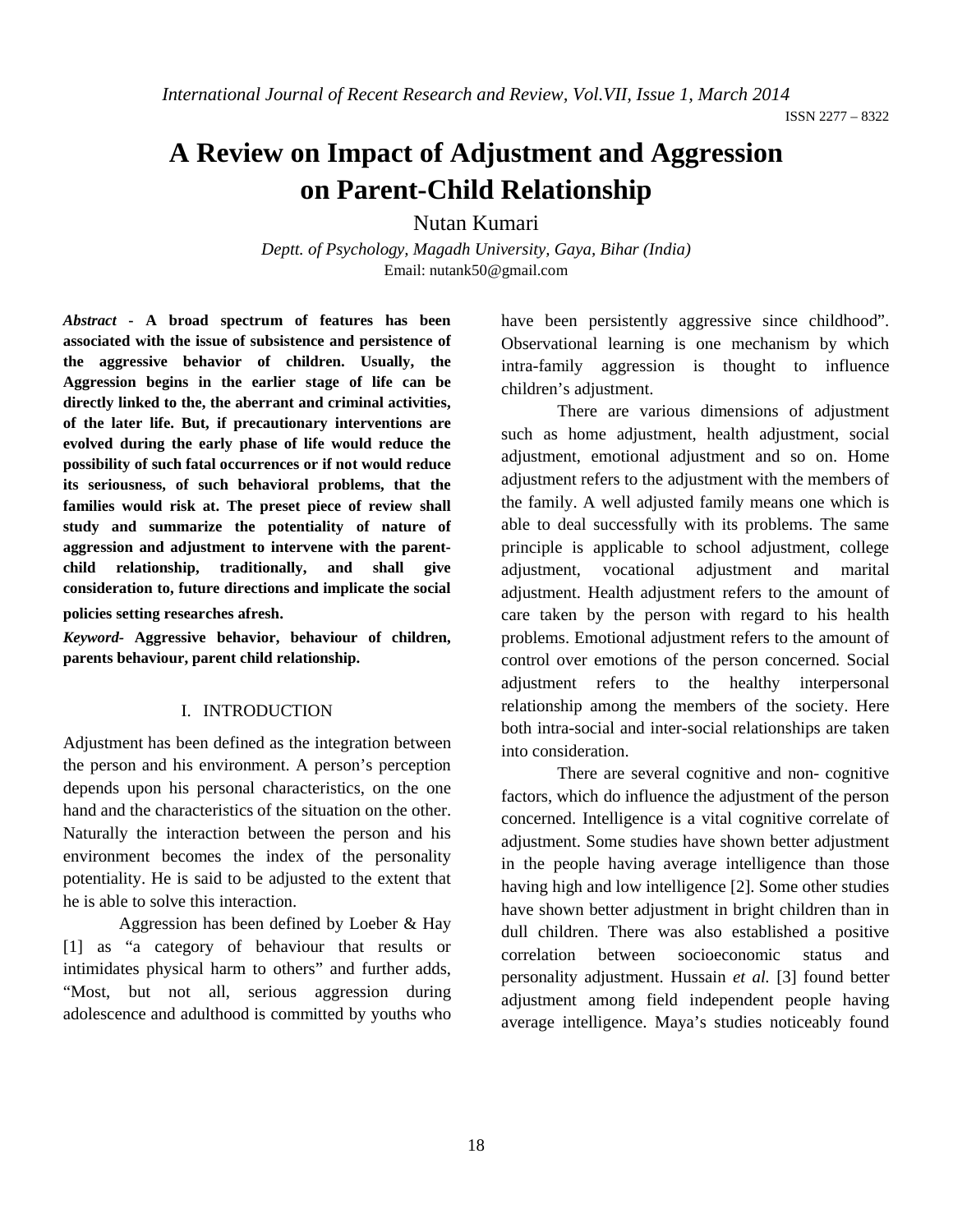ISSN 2277 – 8322

# **A Review on Impact of Adjustment and Aggression on Parent-Child Relationship**

Nutan Kumari

*Deptt. of Psychology, Magadh University, Gaya, Bihar (India)* Email: nutank50@gmail.com

*Abstract* **- A broad spectrum of features has been associated with the issue of subsistence and persistence of the aggressive behavior of children. Usually, the Aggression begins in the earlier stage of life can be directly linked to the, the aberrant and criminal activities, of the later life. But, if precautionary interventions are evolved during the early phase of life would reduce the possibility of such fatal occurrences or if not would reduce its seriousness, of such behavioral problems, that the families would risk at. The preset piece of review shall study and summarize the potentiality of nature of aggression and adjustment to intervene with the parentchild relationship, traditionally, and shall give consideration to, future directions and implicate the social** 

**policies setting researches afresh***.*

*Keyword-* **Aggressive behavior, behaviour of children, parents behaviour, parent child relationship.**

#### I. INTRODUCTION

Adjustment has been defined as the integration between the person and his environment. A person's perception depends upon his personal characteristics, on the one hand and the characteristics of the situation on the other. Naturally the interaction between the person and his environment becomes the index of the personality potentiality. He is said to be adjusted to the extent that he is able to solve this interaction.

Aggression has been defined by Loeber & Hay [1] as "a category of behaviour that results or intimidates physical harm to others" and further adds, "Most, but not all, serious aggression during adolescence and adulthood is committed by youths who

have been persistently aggressive since childhood". Observational learning is one mechanism by which intra-family aggression is thought to influence children's adjustment.

There are various dimensions of adjustment such as home adjustment, health adjustment, social adjustment, emotional adjustment and so on. Home adjustment refers to the adjustment with the members of the family. A well adjusted family means one which is able to deal successfully with its problems. The same principle is applicable to school adjustment, college adjustment, vocational adjustment and marital adjustment. Health adjustment refers to the amount of care taken by the person with regard to his health problems. Emotional adjustment refers to the amount of control over emotions of the person concerned. Social adjustment refers to the healthy interpersonal relationship among the members of the society. Here both intra-social and inter-social relationships are taken into consideration.

There are several cognitive and non- cognitive factors, which do influence the adjustment of the person concerned. Intelligence is a vital cognitive correlate of adjustment. Some studies have shown better adjustment in the people having average intelligence than those having high and low intelligence [2]. Some other studies have shown better adjustment in bright children than in dull children. There was also established a positive correlation between socioeconomic status and personality adjustment. Hussain *et al.* [3] found better adjustment among field independent people having average intelligence. Maya's studies noticeably found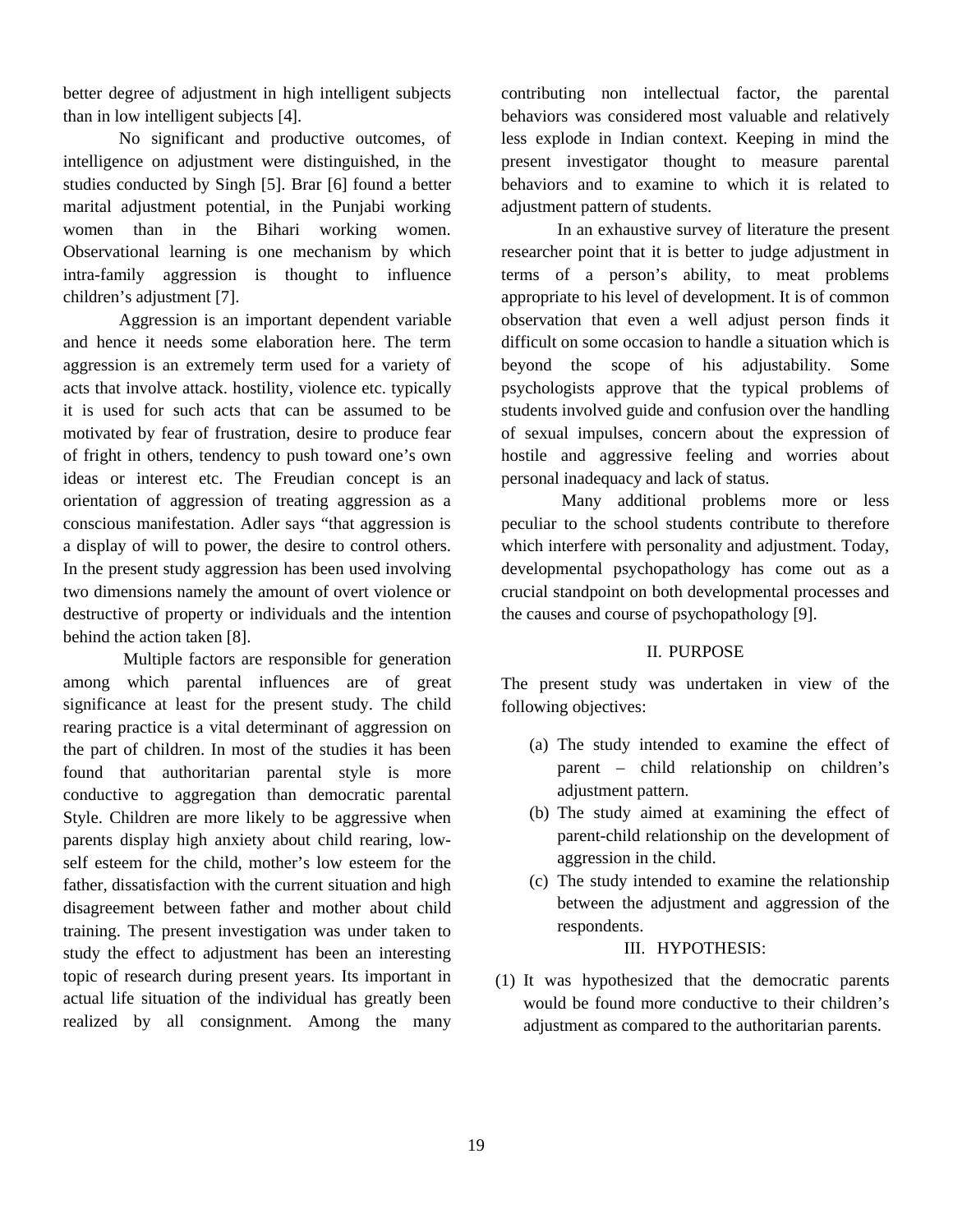better degree of adjustment in high intelligent subjects than in low intelligent subjects [4].

No significant and productive outcomes, of intelligence on adjustment were distinguished, in the studies conducted by Singh [5]. Brar [6] found a better marital adjustment potential, in the Punjabi working women than in the Bihari working women. Observational learning is one mechanism by which intra-family aggression is thought to influence children's adjustment [7].

Aggression is an important dependent variable and hence it needs some elaboration here. The term aggression is an extremely term used for a variety of acts that involve attack. hostility, violence etc. typically it is used for such acts that can be assumed to be motivated by fear of frustration, desire to produce fear of fright in others, tendency to push toward one's own ideas or interest etc. The Freudian concept is an orientation of aggression of treating aggression as a conscious manifestation. Adler says "that aggression is a display of will to power, the desire to control others. In the present study aggression has been used involving two dimensions namely the amount of overt violence or destructive of property or individuals and the intention behind the action taken [8].

Multiple factors are responsible for generation among which parental influences are of great significance at least for the present study. The child rearing practice is a vital determinant of aggression on the part of children. In most of the studies it has been found that authoritarian parental style is more conductive to aggregation than democratic parental Style. Children are more likely to be aggressive when parents display high anxiety about child rearing, lowself esteem for the child, mother's low esteem for the father, dissatisfaction with the current situation and high disagreement between father and mother about child training. The present investigation was under taken to study the effect to adjustment has been an interesting topic of research during present years. Its important in actual life situation of the individual has greatly been realized by all consignment. Among the many

contributing non intellectual factor, the parental behaviors was considered most valuable and relatively less explode in Indian context. Keeping in mind the present investigator thought to measure parental behaviors and to examine to which it is related to adjustment pattern of students.

In an exhaustive survey of literature the present researcher point that it is better to judge adjustment in terms of a person's ability, to meat problems appropriate to his level of development. It is of common observation that even a well adjust person finds it difficult on some occasion to handle a situation which is beyond the scope of his adjustability. Some psychologists approve that the typical problems of students involved guide and confusion over the handling of sexual impulses, concern about the expression of hostile and aggressive feeling and worries about personal inadequacy and lack of status.

Many additional problems more or less peculiar to the school students contribute to therefore which interfere with personality and adjustment. Today, developmental psychopathology has come out as a crucial standpoint on both developmental processes and the causes and course of psychopathology [9].

# II. PURPOSE

The present study was undertaken in view of the following objectives:

- (a) The study intended to examine the effect of parent – child relationship on children's adjustment pattern.
- (b) The study aimed at examining the effect of parent-child relationship on the development of aggression in the child.
- (c) The study intended to examine the relationship between the adjustment and aggression of the respondents.

# III. HYPOTHESIS:

(1) It was hypothesized that the democratic parents would be found more conductive to their children's adjustment as compared to the authoritarian parents.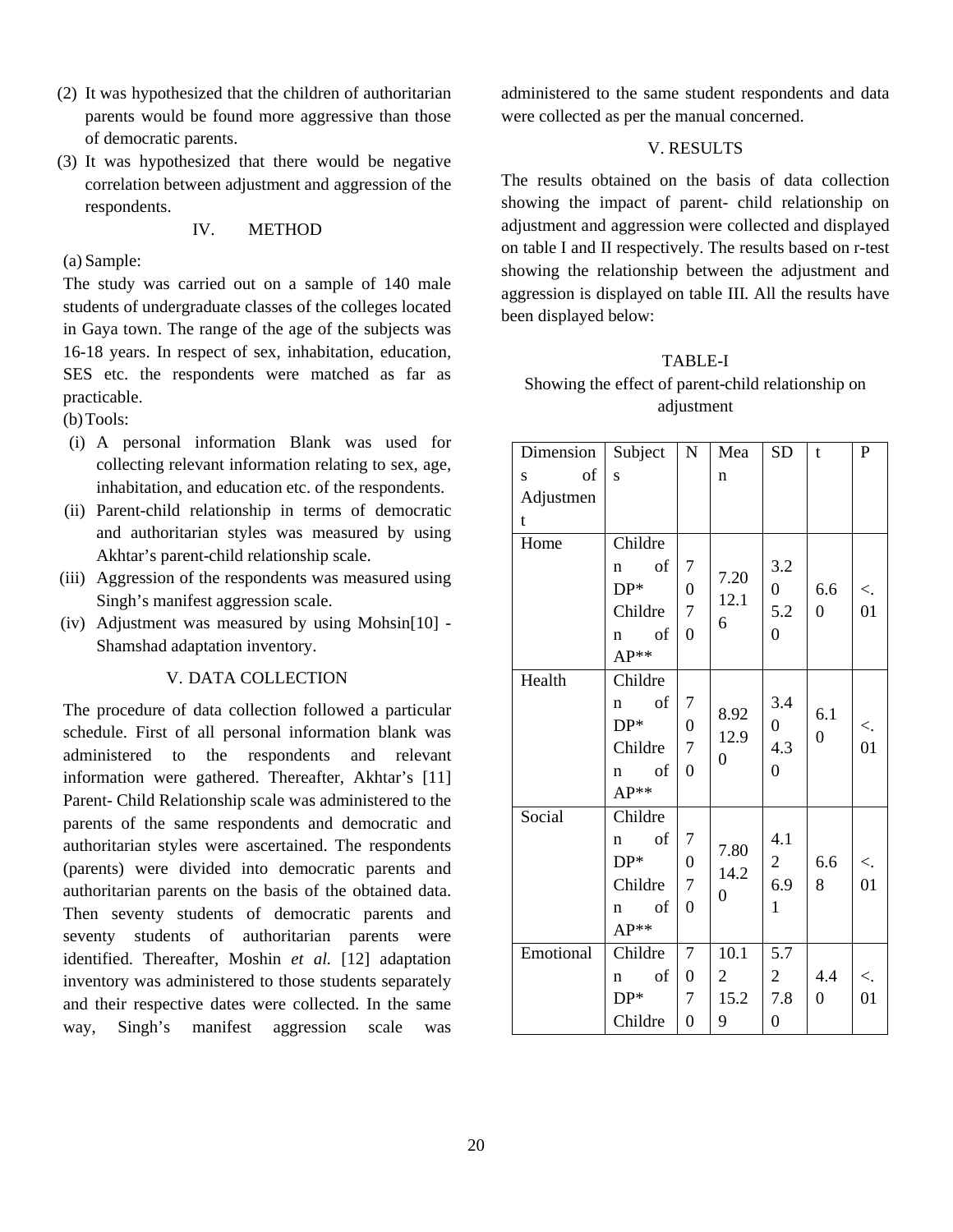- (2) It was hypothesized that the children of authoritarian parents would be found more aggressive than those of democratic parents.
- (3) It was hypothesized that there would be negative correlation between adjustment and aggression of the respondents.

#### IV. METHOD

# (a) Sample:

The study was carried out on a sample of 140 male students of undergraduate classes of the colleges located in Gaya town. The range of the age of the subjects was 16-18 years. In respect of sex, inhabitation, education, SES etc. the respondents were matched as far as practicable.

(b)Tools:

- (i) A personal information Blank was used for collecting relevant information relating to sex, age, inhabitation, and education etc. of the respondents.
- (ii) Parent-child relationship in terms of democratic and authoritarian styles was measured by using Akhtar's parent-child relationship scale.
- (iii) Aggression of the respondents was measured using Singh's manifest aggression scale.
- (iv) Adjustment was measured by using Mohsin[10] Shamshad adaptation inventory.

#### V. DATA COLLECTION

The procedure of data collection followed a particular schedule. First of all personal information blank was administered to the respondents and relevant information were gathered. Thereafter, Akhtar's [11] Parent- Child Relationship scale was administered to the parents of the same respondents and democratic and authoritarian styles were ascertained. The respondents (parents) were divided into democratic parents and authoritarian parents on the basis of the obtained data. Then seventy students of democratic parents and seventy students of authoritarian parents were identified. Thereafter, Moshin *et al.* [12] adaptation inventory was administered to those students separately and their respective dates were collected. In the same way, Singh's manifest aggression scale was

administered to the same student respondents and data were collected as per the manual concerned.

# V. RESULTS

The results obtained on the basis of data collection showing the impact of parent- child relationship on adjustment and aggression were collected and displayed on table I and II respectively. The results based on r-test showing the relationship between the adjustment and aggression is displayed on table III. All the results have been displayed below:

# TABLE-I Showing the effect of parent-child relationship on adjustment

| Subject                                                                                                            | $\mathbf N$      | Mea            | SD                                                                                    | t                     | $\mathbf{P}$ |
|--------------------------------------------------------------------------------------------------------------------|------------------|----------------|---------------------------------------------------------------------------------------|-----------------------|--------------|
| S                                                                                                                  |                  | $\mathbf n$    |                                                                                       |                       |              |
|                                                                                                                    |                  |                |                                                                                       |                       |              |
|                                                                                                                    |                  |                |                                                                                       |                       |              |
| Childre                                                                                                            |                  |                |                                                                                       |                       |              |
| of<br>7<br>$\mathbf n$                                                                                             |                  |                | 3.2                                                                                   |                       |              |
|                                                                                                                    | $\boldsymbol{0}$ |                | $\overline{0}$<br>5.2<br>$\overline{0}$                                               | 6.6<br>$\overline{0}$ | $\lt$ .      |
| Childre                                                                                                            | $\boldsymbol{7}$ |                |                                                                                       |                       | 01           |
| of<br>$\mathbf{n}$                                                                                                 | 0                |                |                                                                                       |                       |              |
| $AP**$                                                                                                             |                  |                |                                                                                       |                       |              |
| Childre                                                                                                            |                  |                |                                                                                       |                       |              |
| of<br>$\mathbf n$                                                                                                  | 7                |                | 3.4<br>$\overline{0}$<br>4.3<br>$\overline{0}$                                        |                       |              |
| $DP*$                                                                                                              | $\boldsymbol{0}$ |                |                                                                                       |                       | $\lt$ .      |
| Childre                                                                                                            | $\overline{7}$   |                |                                                                                       |                       | 01           |
| of<br>n                                                                                                            | $\overline{0}$   |                |                                                                                       |                       |              |
| $AP**$                                                                                                             |                  |                |                                                                                       |                       |              |
| Childre                                                                                                            |                  |                |                                                                                       |                       |              |
| $% \left( \left( \mathcal{A},\mathcal{A}\right) \right) =\left( \mathcal{A},\mathcal{A}\right)$ of<br>$\mathbf{n}$ | 7                |                | 4.1<br>$\overline{2}$<br>6.9                                                          | 6.6<br>8              |              |
| $DP*$                                                                                                              | $\boldsymbol{0}$ |                |                                                                                       |                       | $\lt$ .      |
| Childre                                                                                                            | $\boldsymbol{7}$ |                |                                                                                       |                       | 01           |
| of<br>$\mathbf n$                                                                                                  | $\overline{0}$   |                | $\mathbf{1}$                                                                          |                       |              |
| $AP**$                                                                                                             |                  |                |                                                                                       |                       |              |
| Childre                                                                                                            | $\boldsymbol{7}$ | 10.1           | 5.7                                                                                   |                       |              |
| of<br>$\mathbf n$                                                                                                  | $\boldsymbol{0}$ | $\overline{2}$ | $\overline{2}$                                                                        | 4.4                   | $\lt$ .      |
| $DP*$                                                                                                              | 7                | 15.2           | 7.8                                                                                   | $\overline{0}$        | 01           |
| Childre                                                                                                            | $\boldsymbol{0}$ | 9              | $\boldsymbol{0}$                                                                      |                       |              |
|                                                                                                                    | $DP*$            |                | 7.20<br>12.1<br>6<br>8.92<br>12.9<br>$\overline{0}$<br>7.80<br>14.2<br>$\overline{0}$ |                       | 6.1<br>0     |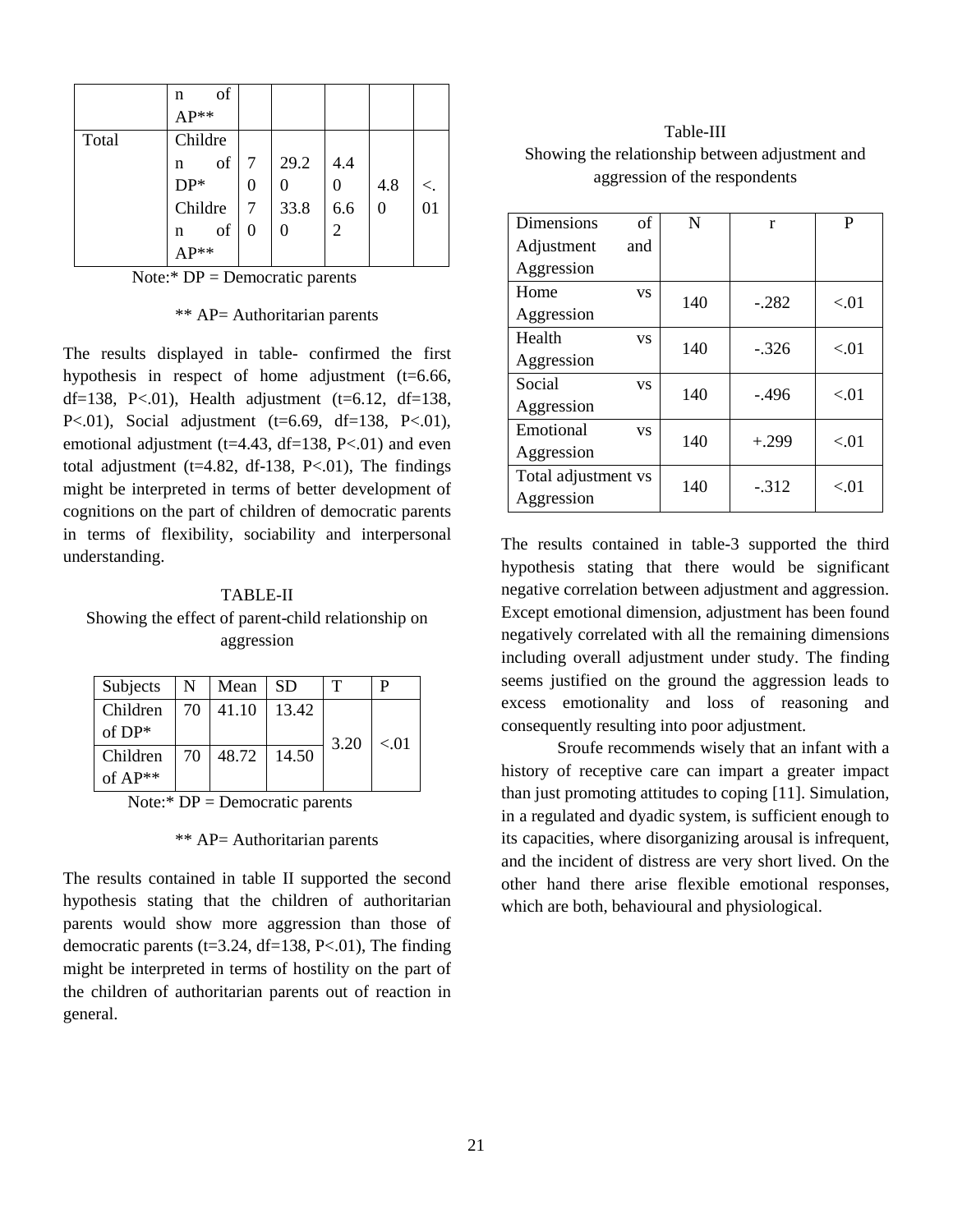|       | of<br>n<br>$AP**$ |                |      |                |     |         |
|-------|-------------------|----------------|------|----------------|-----|---------|
| Total | Childre           |                |      |                |     |         |
|       | of<br>n           |                | 29.2 | 4.4            |     |         |
|       | $DP*$             | $\overline{0}$ |      |                | 4.8 | $\lt$ . |
|       | Childre           |                | 33.8 | 6.6            |     | 01      |
|       | of<br>n           | $\overline{0}$ | 0    | $\overline{2}$ |     |         |
|       | $AP**$            |                |      |                |     |         |

Note: $*$  DP = Democratic parents

\*\* AP= Authoritarian parents

The results displayed in table- confirmed the first hypothesis in respect of home adjustment (t=6.66, df=138, P<.01), Health adjustment (t=6.12, df=138, P<.01), Social adjustment (t=6.69, df=138, P<.01), emotional adjustment ( $t=4.43$ ,  $df=138$ ,  $P<.01$ ) and even total adjustment ( $t=4.82$ , df-138, P<.01), The findings might be interpreted in terms of better development of cognitions on the part of children of democratic parents in terms of flexibility, sociability and interpersonal understanding.

#### TABLE-II

Showing the effect of parent-child relationship on aggression

| Subjects  | $N_{\odot}$ | Mean          | -SD   | т    |      |
|-----------|-------------|---------------|-------|------|------|
| Children  |             | 70   41.10    | 13.42 |      |      |
| of $DP*$  |             |               |       | 3.20 | < 01 |
| Children  | 70 I        | 48.72   14.50 |       |      |      |
| of $AP**$ |             |               |       |      |      |

Note: $*$  DP = Democratic parents

#### \*\* AP= Authoritarian parents

The results contained in table II supported the second hypothesis stating that the children of authoritarian parents would show more aggression than those of democratic parents (t=3.24, df=138, P<.01), The finding might be interpreted in terms of hostility on the part of the children of authoritarian parents out of reaction in general.

Table-III Showing the relationship between adjustment and aggression of the respondents

| Dimensions          | of        | N   | r        | P    |
|---------------------|-----------|-----|----------|------|
| Adjustment          | and       |     |          |      |
| Aggression          |           |     |          |      |
| Home                | <b>VS</b> | 140 | $-.282$  | < 01 |
| Aggression          |           |     |          |      |
| Health              | <b>VS</b> | 140 | $-.326$  | < 01 |
| Aggression          |           |     |          |      |
| Social              | <b>VS</b> | 140 | $-0.496$ | < 01 |
| Aggression          |           |     |          |      |
| Emotional           | <b>VS</b> | 140 | $+.299$  | < 01 |
| Aggression          |           |     |          |      |
| Total adjustment vs |           | 140 | $-312$   | < 01 |
| Aggression          |           |     |          |      |

The results contained in table-3 supported the third hypothesis stating that there would be significant negative correlation between adjustment and aggression. Except emotional dimension, adjustment has been found negatively correlated with all the remaining dimensions including overall adjustment under study. The finding seems justified on the ground the aggression leads to excess emotionality and loss of reasoning and consequently resulting into poor adjustment.

Sroufe recommends wisely that an infant with a history of receptive care can impart a greater impact than just promoting attitudes to coping [11]. Simulation, in a regulated and dyadic system, is sufficient enough to its capacities, where disorganizing arousal is infrequent, and the incident of distress are very short lived. On the other hand there arise flexible emotional responses, which are both, behavioural and physiological.